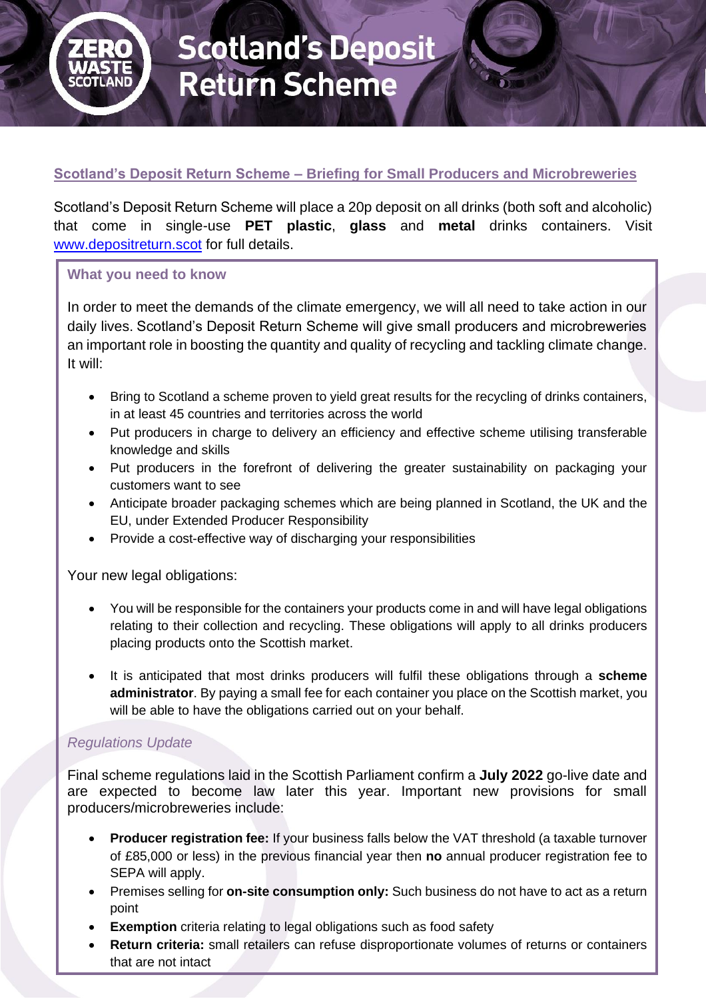

# **Scotland's Deposit Return Scheme – Briefing for Small Producers and Microbreweries**

Scotland's Deposit Return Scheme will place a 20p deposit on all drinks (both soft and alcoholic) that come in single-use **PET plastic**, **glass** and **metal** drinks containers. Visit [www.depositreturn.scot](http://www.depositreturn.scot/) for full details.

#### **What you need to know**

In order to meet the demands of the climate emergency, we will all need to take action in our daily lives. Scotland's Deposit Return Scheme will give small producers and microbreweries an important role in boosting the quantity and quality of recycling and tackling climate change. It will:

- Bring to Scotland a scheme proven to yield great results for the recycling of drinks containers, in at least 45 countries and territories across the world
- Put producers in charge to delivery an efficiency and effective scheme utilising transferable knowledge and skills
- Put producers in the forefront of delivering the greater sustainability on packaging your customers want to see
- Anticipate broader packaging schemes which are being planned in Scotland, the UK and the EU, under Extended Producer Responsibility
- Provide a cost-effective way of discharging your responsibilities

Your new legal obligations:

- You will be responsible for the containers your products come in and will have legal obligations relating to their collection and recycling. These obligations will apply to all drinks producers placing products onto the Scottish market.
- It is anticipated that most drinks producers will fulfil these obligations through a **scheme administrator**. By paying a small fee for each container you place on the Scottish market, you will be able to have the obligations carried out on your behalf.

#### *Regulations Update*

Final scheme regulations laid in the Scottish Parliament confirm a **July 2022** go-live date and are expected to become law later this year. Important new provisions for small producers/microbreweries include:

- **Producer registration fee:** If your business falls below the VAT threshold (a taxable turnover of £85,000 or less) in the previous financial year then **no** annual producer registration fee to SEPA will apply.
- Premises selling for **on-site consumption only:** Such business do not have to act as a return point
- **Exemption** criteria relating to legal obligations such as food safety
- **Return criteria:** small retailers can refuse disproportionate volumes of returns or containers that are not intact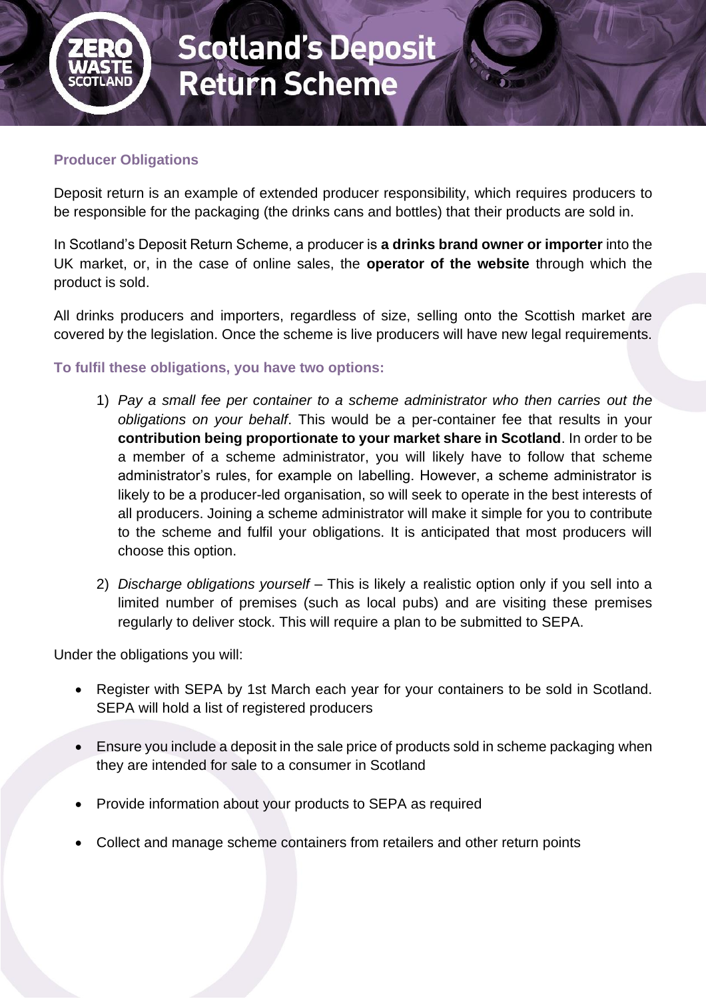

### **Producer Obligations**

Deposit return is an example of extended producer responsibility, which requires producers to be responsible for the packaging (the drinks cans and bottles) that their products are sold in.

In Scotland's Deposit Return Scheme, a producer is **a drinks brand owner or importer** into the UK market, or, in the case of online sales, the **operator of the website** through which the product is sold.

All drinks producers and importers, regardless of size, selling onto the Scottish market are covered by the legislation. Once the scheme is live producers will have new legal requirements.

## **To fulfil these obligations, you have two options:**

- 1) *Pay a small fee per container to a scheme administrator who then carries out the obligations on your behalf*. This would be a per-container fee that results in your **contribution being proportionate to your market share in Scotland**. In order to be a member of a scheme administrator, you will likely have to follow that scheme administrator's rules, for example on labelling. However, a scheme administrator is likely to be a producer-led organisation, so will seek to operate in the best interests of all producers. Joining a scheme administrator will make it simple for you to contribute to the scheme and fulfil your obligations. It is anticipated that most producers will choose this option.
- 2) *Discharge obligations yourself*  This is likely a realistic option only if you sell into a limited number of premises (such as local pubs) and are visiting these premises regularly to deliver stock. This will require a plan to be submitted to SEPA.

Under the obligations you will:

- Register with SEPA by 1st March each year for your containers to be sold in Scotland. SEPA will hold a list of registered producers
- Ensure you include a deposit in the sale price of products sold in scheme packaging when they are intended for sale to a consumer in Scotland
- Provide information about your products to SEPA as required
- Collect and manage scheme containers from retailers and other return points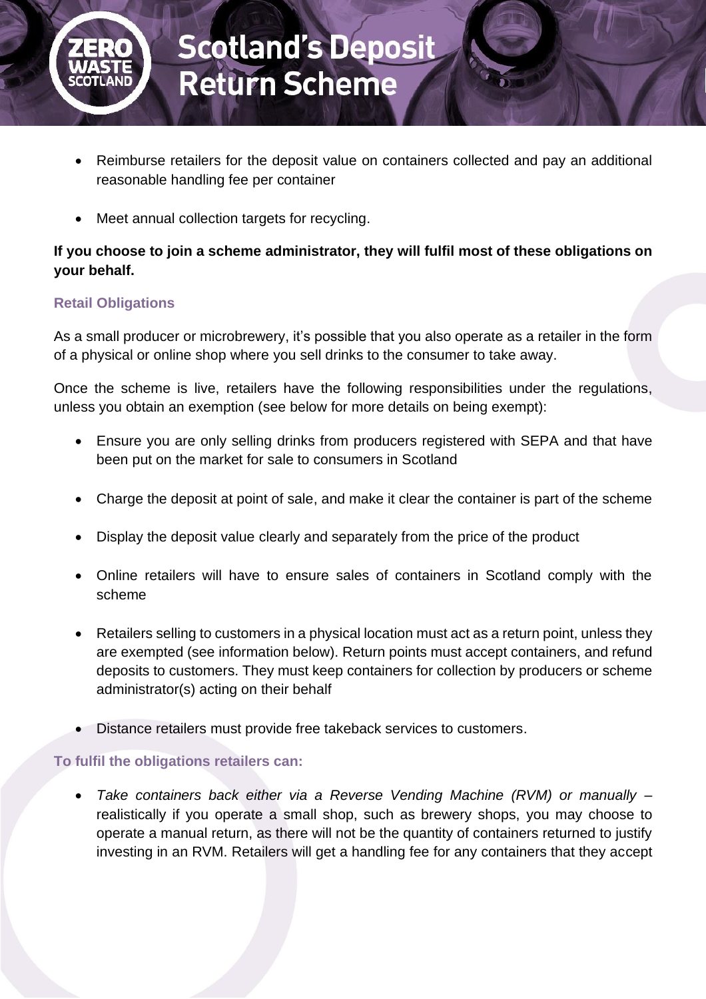

- Reimburse retailers for the deposit value on containers collected and pay an additional reasonable handling fee per container
- Meet annual collection targets for recycling.

# **If you choose to join a scheme administrator, they will fulfil most of these obligations on your behalf.**

## **Retail Obligations**

As a small producer or microbrewery, it's possible that you also operate as a retailer in the form of a physical or online shop where you sell drinks to the consumer to take away.

Once the scheme is live, retailers have the following responsibilities under the regulations, unless you obtain an exemption (see below for more details on being exempt):

- Ensure you are only selling drinks from producers registered with SEPA and that have been put on the market for sale to consumers in Scotland
- Charge the deposit at point of sale, and make it clear the container is part of the scheme
- Display the deposit value clearly and separately from the price of the product
- Online retailers will have to ensure sales of containers in Scotland comply with the scheme
- Retailers selling to customers in a physical location must act as a return point, unless they are exempted (see information below). Return points must accept containers, and refund deposits to customers. They must keep containers for collection by producers or scheme administrator(s) acting on their behalf
- Distance retailers must provide free takeback services to customers.

# **To fulfil the obligations retailers can:**

• *Take containers back either via a Reverse Vending Machine (RVM) or manually* – realistically if you operate a small shop, such as brewery shops, you may choose to operate a manual return, as there will not be the quantity of containers returned to justify investing in an RVM. Retailers will get a handling fee for any containers that they accept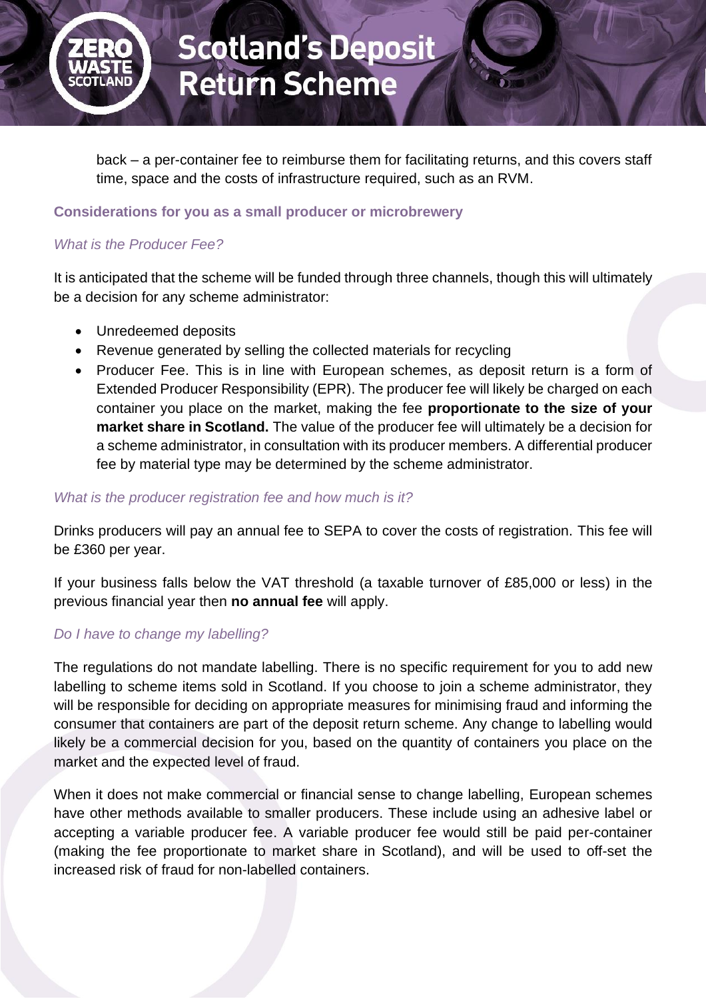

back – a per-container fee to reimburse them for facilitating returns, and this covers staff time, space and the costs of infrastructure required, such as an RVM.

#### **Considerations for you as a small producer or microbrewery**

# *What is the Producer Fee?*

It is anticipated that the scheme will be funded through three channels, though this will ultimately be a decision for any scheme administrator:

- Unredeemed deposits
- Revenue generated by selling the collected materials for recycling
- Producer Fee. This is in line with European schemes, as deposit return is a form of Extended Producer Responsibility (EPR). The producer fee will likely be charged on each container you place on the market, making the fee **proportionate to the size of your market share in Scotland.** The value of the producer fee will ultimately be a decision for a scheme administrator, in consultation with its producer members. A differential producer fee by material type may be determined by the scheme administrator.

#### *What is the producer registration fee and how much is it?*

Drinks producers will pay an annual fee to SEPA to cover the costs of registration. This fee will be £360 per year.

If your business falls below the VAT threshold (a taxable turnover of £85,000 or less) in the previous financial year then **no annual fee** will apply.

# *Do I have to change my labelling?*

The regulations do not mandate labelling. There is no specific requirement for you to add new labelling to scheme items sold in Scotland. If you choose to join a scheme administrator, they will be responsible for deciding on appropriate measures for minimising fraud and informing the consumer that containers are part of the deposit return scheme. Any change to labelling would likely be a commercial decision for you, based on the quantity of containers you place on the market and the expected level of fraud.

When it does not make commercial or financial sense to change labelling, European schemes have other methods available to smaller producers. These include using an adhesive label or accepting a variable producer fee. A variable producer fee would still be paid per-container (making the fee proportionate to market share in Scotland), and will be used to off-set the increased risk of fraud for non-labelled containers.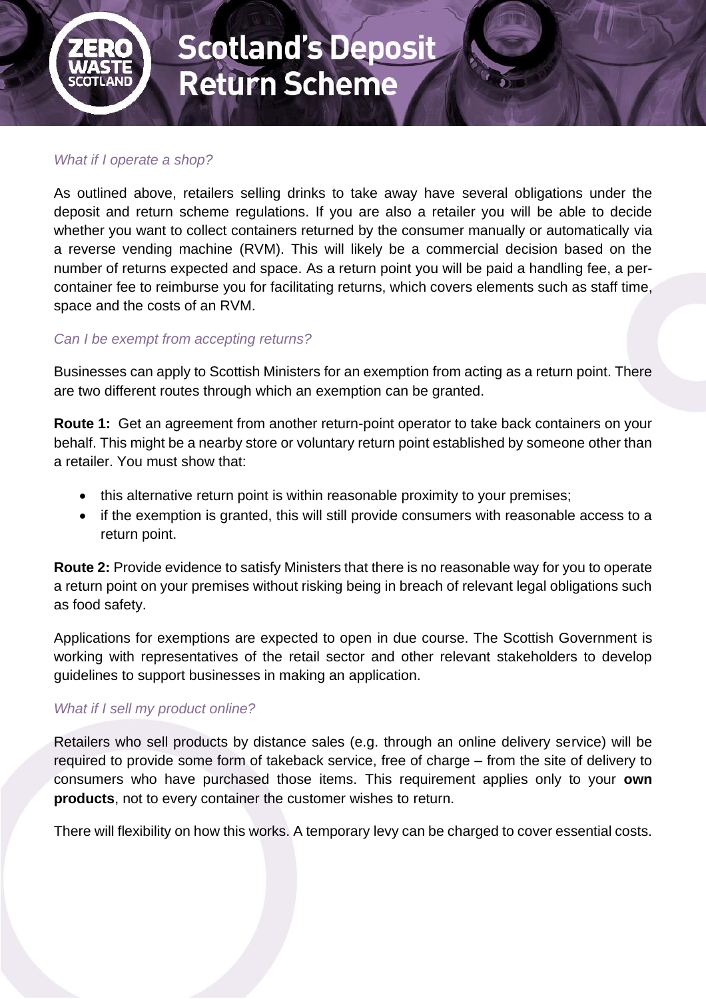

# *What if I operate a shop?*

As outlined above, retailers selling drinks to take away have several obligations under the deposit and return scheme regulations. If you are also a retailer you will be able to decide whether you want to collect containers returned by the consumer manually or automatically via a reverse vending machine (RVM). This will likely be a commercial decision based on the number of returns expected and space. As a return point you will be paid a handling fee, a percontainer fee to reimburse you for facilitating returns, which covers elements such as staff time, space and the costs of an RVM.

#### *Can I be exempt from accepting returns?*

Businesses can apply to Scottish Ministers for an exemption from acting as a return point. There are two different routes through which an exemption can be granted.

**Route 1:** Get an agreement from another return-point operator to take back containers on your behalf. This might be a nearby store or voluntary return point established by someone other than a retailer. You must show that:

- this alternative return point is within reasonable proximity to your premises;
- if the exemption is granted, this will still provide consumers with reasonable access to a return point.

**Route 2:** Provide evidence to satisfy Ministers that there is no reasonable way for you to operate a return point on your premises without risking being in breach of relevant legal obligations such as food safety.

Applications for exemptions are expected to open in due course. The Scottish Government is working with representatives of the retail sector and other relevant stakeholders to develop guidelines to support businesses in making an application.

#### *What if I sell my product online?*

Retailers who sell products by distance sales (e.g. through an online delivery service) will be required to provide some form of takeback service, free of charge – from the site of delivery to consumers who have purchased those items. This requirement applies only to your **own products**, not to every container the customer wishes to return.

There will flexibility on how this works. A temporary levy can be charged to cover essential costs.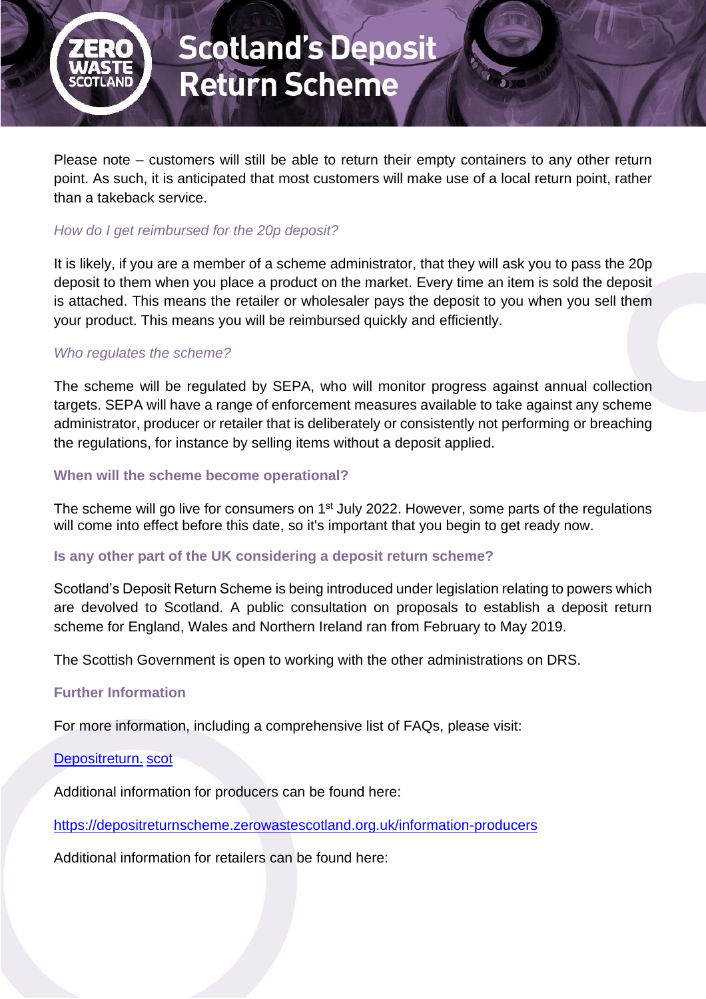

Please note – customers will still be able to return their empty containers to any other return point. As such, it is anticipated that most customers will make use of a local return point, rather than a takeback service.

## *How do I get reimbursed for the 20p deposit?*

It is likely, if you are a member of a scheme administrator, that they will ask you to pass the 20p deposit to them when you place a product on the market. Every time an item is sold the deposit is attached. This means the retailer or wholesaler pays the deposit to you when you sell them your product. This means you will be reimbursed quickly and efficiently.

## *Who regulates the scheme?*

The scheme will be regulated by SEPA, who will monitor progress against annual collection targets. SEPA will have a range of enforcement measures available to take against any scheme administrator, producer or retailer that is deliberately or consistently not performing or breaching the regulations, for instance by selling items without a deposit applied.

#### **When will the scheme become operational?**

The scheme will go live for consumers on 1<sup>st</sup> July 2022. However, some parts of the regulations will come into effect before this date, so it's important that you begin to get ready now.

#### **Is any other part of the UK considering a deposit return scheme?**

Scotland's Deposit Return Scheme is being introduced under legislation relating to powers which are devolved to Scotland. A public consultation on proposals to establish a deposit return scheme for England, Wales and Northern Ireland ran from February to May 2019.

The Scottish Government is open to working with the other administrations on DRS.

#### **Further Information**

For more information, including a comprehensive list of FAQs, please visit:

[Depositreturn.](https://depositreturnscheme.zerowastescotland.org.uk/) scot

Additional information for producers can be found here:

<https://depositreturnscheme.zerowastescotland.org.uk/information-producers>

Additional information for retailers can be found here: